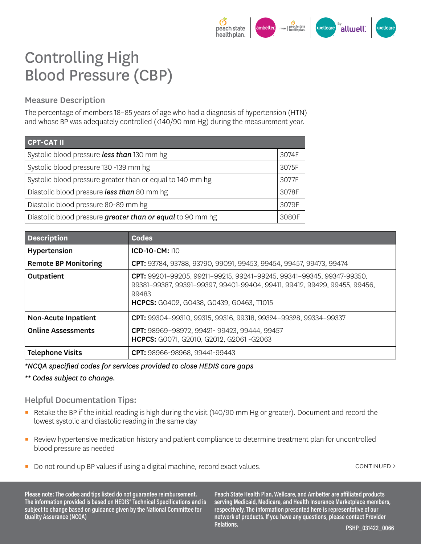

## Controlling High Blood Pressure (CBP)

## Measure Description

The percentage of members 18–85 years of age who had a diagnosis of hypertension (HTN) and whose BP was adequately controlled (<140/90 mm Hg) during the measurement year.

| <b>CPT-CAT II</b>                                          |       |
|------------------------------------------------------------|-------|
| Systolic blood pressure less than 130 mm hg                | 3074F |
| Systolic blood pressure 130 -139 mm hg                     | 3075F |
| Systolic blood pressure greater than or equal to 140 mm hg | 3077F |
| Diastolic blood pressure less than 80 mm hg                | 3078F |
| Diastolic blood pressure 80-89 mm hg                       | 3079F |
| Diastolic blood pressure greater than or equal to 90 mm hg |       |

| <b>Description</b>          | <b>Codes</b>                                                                                                                                                                                                   |
|-----------------------------|----------------------------------------------------------------------------------------------------------------------------------------------------------------------------------------------------------------|
| Hypertension                | <b>ICD-10-CM: 110</b>                                                                                                                                                                                          |
| <b>Remote BP Monitoring</b> | CPT: 93784, 93788, 93790, 99091, 99453, 99454, 99457, 99473, 99474                                                                                                                                             |
| Outpatient                  | CPT: 99201-99205, 99211-99215, 99241-99245, 99341-99345, 99347-99350,<br>99381-99387, 99391-99397, 99401-99404, 99411, 99412, 99429, 99455, 99456,<br>99483<br><b>HCPCS:</b> G0402, G0438, G0439, G0463, T1015 |
| <b>Non-Acute Inpatient</b>  | CPT: 99304-99310, 99315, 99316, 99318, 99324-99328, 99334-99337                                                                                                                                                |
| <b>Online Assessments</b>   | CPT: 98969-98972, 99421-99423, 99444, 99457<br><b>HCPCS:</b> G0071, G2010, G2012, G2061 -G2063                                                                                                                 |
| <b>Telephone Visits</b>     | CPT: 98966-98968, 99441-99443                                                                                                                                                                                  |

*\*NCQA specified codes for services provided to close HEDIS care gaps* 

*\*\* Codes subject to change.* 

## Helpful Documentation Tips:

- Retake the BP if the initial reading is high during the visit (140/90 mm Hg or greater). Document and record the lowest systolic and diastolic reading in the same day
- Review hypertensive medication history and patient compliance to determine treatment plan for uncontrolled blood pressure as needed
- Do not round up BP values if using a digital machine, record exact values. continued > continued >

**Please note: The codes and tips listed do not guarantee reimbursement. The information provided is based on HEDIS® Technical Specifications and is subject to change based on guidance given by the National Committee for Quality Assurance (NCQA)**

**Peach State Health Plan, Wellcare, and Ambetter are affiliated products serving Medicaid, Medicare, and Health Insurance Marketplace members, respectively. The information presented here is representative of our network of products. If you have any questions, please contact Provider Relations. PSHP\_031422\_0066**